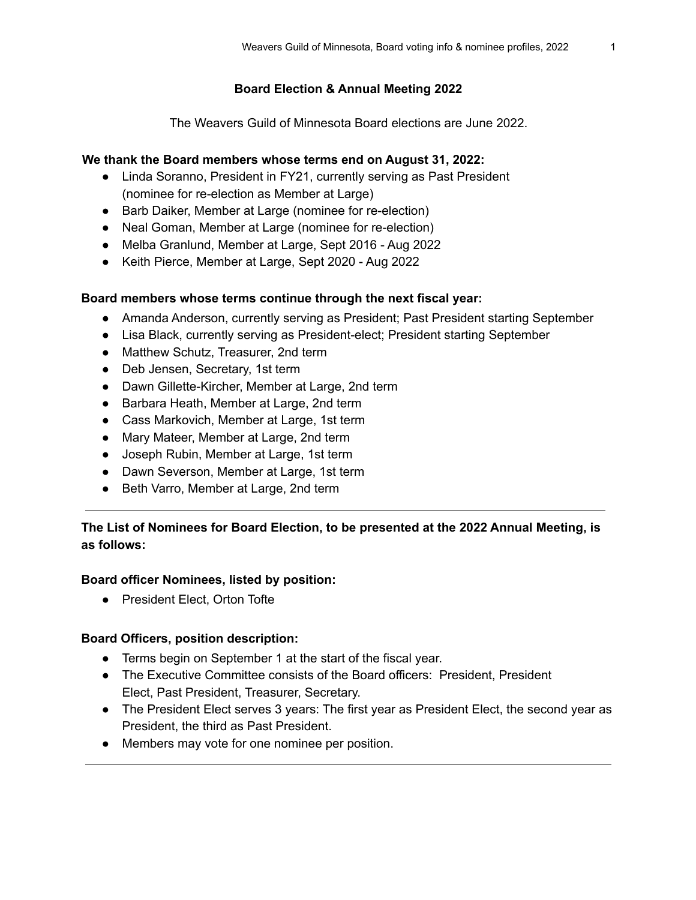# **Board Election & Annual Meeting 2022**

The Weavers Guild of Minnesota Board elections are June 2022.

# **We thank the Board members whose terms end on August 31, 2022:**

- Linda Soranno, President in FY21, currently serving as Past President (nominee for re-election as Member at Large)
- Barb Daiker, Member at Large (nominee for re-election)
- Neal Goman, Member at Large (nominee for re-election)
- Melba Granlund, Member at Large, Sept 2016 Aug 2022
- Keith Pierce, Member at Large, Sept 2020 Aug 2022

# **Board members whose terms continue through the next fiscal year:**

- Amanda Anderson, currently serving as President; Past President starting September
- Lisa Black, currently serving as President-elect; President starting September
- Matthew Schutz, Treasurer, 2nd term
- Deb Jensen, Secretary, 1st term
- Dawn Gillette-Kircher, Member at Large, 2nd term
- Barbara Heath, Member at Large, 2nd term
- Cass Markovich, Member at Large, 1st term
- Mary Mateer, Member at Large, 2nd term
- Joseph Rubin, Member at Large, 1st term
- Dawn Severson, Member at Large, 1st term
- Beth Varro, Member at Large, 2nd term

# **The List of Nominees for Board Election, to be presented at the 2022 Annual Meeting, is as follows:**

## **Board officer Nominees, listed by position:**

● President Elect, Orton Tofte

## **Board Officers, position description:**

- Terms begin on September 1 at the start of the fiscal year.
- The Executive Committee consists of the Board officers: President, President Elect, Past President, Treasurer, Secretary.
- The President Elect serves 3 years: The first year as President Elect, the second year as President, the third as Past President.
- Members may vote for one nominee per position.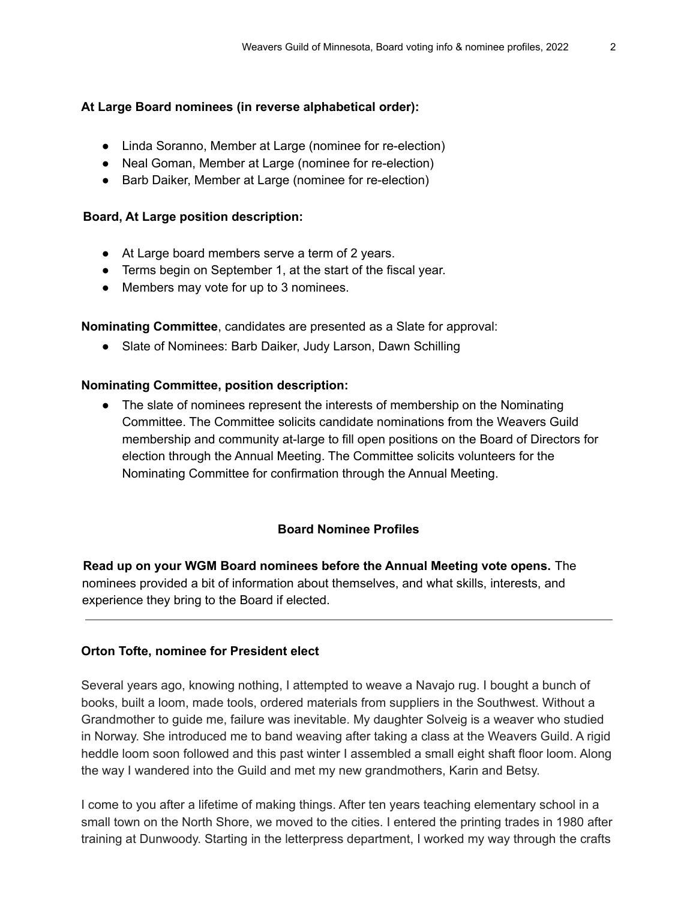### **At Large Board nominees (in reverse alphabetical order):**

- Linda Soranno, Member at Large (nominee for re-election)
- Neal Goman, Member at Large (nominee for re-election)
- Barb Daiker, Member at Large (nominee for re-election)

#### **Board, At Large position description:**

- At Large board members serve a term of 2 years.
- Terms begin on September 1, at the start of the fiscal year.
- Members may vote for up to 3 nominees.

#### **Nominating Committee**, candidates are presented as a Slate for approval:

● Slate of Nominees: Barb Daiker, Judy Larson, Dawn Schilling

#### **Nominating Committee, position description:**

**●** The slate of nominees represent the interests of membership on the Nominating Committee. The Committee solicits candidate nominations from the Weavers Guild membership and community at-large to fill open positions on the Board of Directors for election through the Annual Meeting. The Committee solicits volunteers for the Nominating Committee for confirmation through the Annual Meeting.

## **Board Nominee Profiles**

**Read up on your WGM Board nominees before the Annual Meeting vote opens.** The nominees provided a bit of information about themselves, and what skills, interests, and experience they bring to the Board if elected.

#### **Orton Tofte, nominee for President elect**

Several years ago, knowing nothing, I attempted to weave a Navajo rug. I bought a bunch of books, built a loom, made tools, ordered materials from suppliers in the Southwest. Without a Grandmother to guide me, failure was inevitable. My daughter Solveig is a weaver who studied in Norway. She introduced me to band weaving after taking a class at the Weavers Guild. A rigid heddle loom soon followed and this past winter I assembled a small eight shaft floor loom. Along the way I wandered into the Guild and met my new grandmothers, Karin and Betsy.

I come to you after a lifetime of making things. After ten years teaching elementary school in a small town on the North Shore, we moved to the cities. I entered the printing trades in 1980 after training at Dunwoody. Starting in the letterpress department, I worked my way through the crafts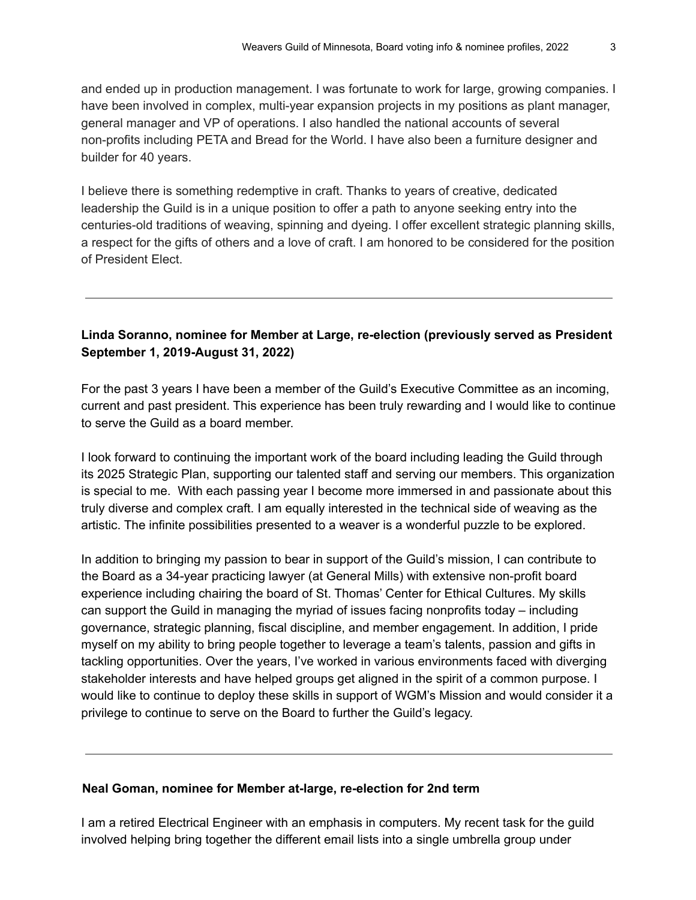and ended up in production management. I was fortunate to work for large, growing companies. I have been involved in complex, multi-year expansion projects in my positions as plant manager, general manager and VP of operations. I also handled the national accounts of several non-profits including PETA and Bread for the World. I have also been a furniture designer and builder for 40 years.

I believe there is something redemptive in craft. Thanks to years of creative, dedicated leadership the Guild is in a unique position to offer a path to anyone seeking entry into the centuries-old traditions of weaving, spinning and dyeing. I offer excellent strategic planning skills, a respect for the gifts of others and a love of craft. I am honored to be considered for the position of President Elect.

# **Linda Soranno, nominee for Member at Large, re-election (previously served as President September 1, 2019-August 31, 2022)**

For the past 3 years I have been a member of the Guild's Executive Committee as an incoming, current and past president. This experience has been truly rewarding and I would like to continue to serve the Guild as a board member.

I look forward to continuing the important work of the board including leading the Guild through its 2025 Strategic Plan, supporting our talented staff and serving our members. This organization is special to me. With each passing year I become more immersed in and passionate about this truly diverse and complex craft. I am equally interested in the technical side of weaving as the artistic. The infinite possibilities presented to a weaver is a wonderful puzzle to be explored.

In addition to bringing my passion to bear in support of the Guild's mission, I can contribute to the Board as a 34-year practicing lawyer (at General Mills) with extensive non-profit board experience including chairing the board of St. Thomas' Center for Ethical Cultures. My skills can support the Guild in managing the myriad of issues facing nonprofits today – including governance, strategic planning, fiscal discipline, and member engagement. In addition, I pride myself on my ability to bring people together to leverage a team's talents, passion and gifts in tackling opportunities. Over the years, I've worked in various environments faced with diverging stakeholder interests and have helped groups get aligned in the spirit of a common purpose. I would like to continue to deploy these skills in support of WGM's Mission and would consider it a privilege to continue to serve on the Board to further the Guild's legacy.

#### **Neal Goman, nominee for Member at-large, re-election for 2nd term**

I am a retired Electrical Engineer with an emphasis in computers. My recent task for the guild involved helping bring together the different email lists into a single umbrella group under